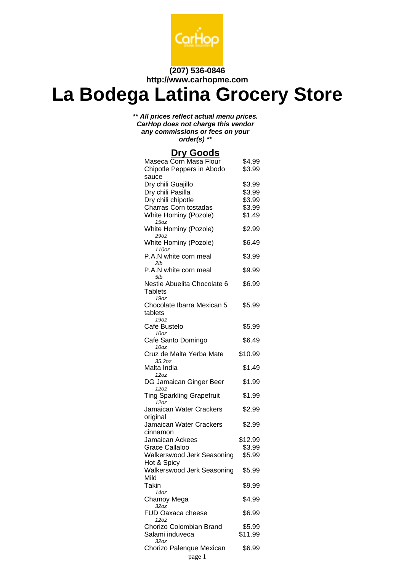

#### **(207) 536-0846 http://www.carhopme.com**

# **La Bodega Latina Grocery Store**

**\*\* All prices reflect actual menu prices. CarHop does not charge this vendor any commissions or fees on your order(s) \*\***

#### **Dry Goods**

| Maseca Corn Masa Flour<br>Chipotle Peppers in Abodo | \$4.99<br>\$3.99  |
|-----------------------------------------------------|-------------------|
| sauce                                               |                   |
| Dry chili Guajillo                                  | \$3.99            |
| Dry chili Pasilla                                   | \$3.99            |
| Dry chili chipotle                                  | \$3.99            |
| Charras Corn tostadas                               | \$3.99            |
| White Hominy (Pozole)<br>15oz                       | \$1.49            |
| White Hominy (Pozole)<br>29oz                       | \$2.99            |
| White Hominy (Pozole)<br>110oz                      | \$6.49            |
| P.A.N white corn meal<br>2lb                        | \$3.99            |
| P.A.N white corn meal<br>5lb                        | \$9.99            |
| Nestle Abuelita Chocolate 6                         | \$6.99            |
| Tablets                                             |                   |
| 19 <sub>oz</sub>                                    |                   |
| Chocolate Ibarra Mexican 5                          | \$5.99            |
| tablets                                             |                   |
| 19 <sub>oz</sub>                                    |                   |
| Cafe Bustelo<br>10 <sub>oz</sub>                    | \$5.99            |
| Cafe Santo Domingo                                  | \$6.49            |
| 10 <sub>oz</sub>                                    |                   |
| Cruz de Malta Yerba Mate                            | \$10.99           |
| 35.2oz                                              |                   |
| Malta India<br>12oz                                 | \$1.49            |
| DG Jamaican Ginger Beer                             | \$1.99            |
| 12oz                                                |                   |
| <b>Ting Sparkling Grapefruit</b><br>12oz            | \$1.99            |
| Jamaican Water Crackers                             | \$2.99            |
| original                                            |                   |
| Jamaican Water Crackers                             | \$2.99            |
| cinnamon                                            |                   |
| Jamaican Ackees<br><b>Grace Callaloo</b>            | \$12.99<br>\$3.99 |
| Walkerswood Jerk Seasoning                          | \$5.99            |
| Hot & Spicy                                         |                   |
| Walkerswood Jerk Seasoning                          | \$5.99            |
| Mild                                                |                   |
| Takin                                               | \$9.99            |
| 140z                                                |                   |
| Chamoy Mega<br>32oz                                 | \$4.99            |
| <b>FUD Oaxaca cheese</b>                            | \$6.99            |
| 12 oz<br>Chorizo Colombian Brand                    | \$5.99            |
| Salami induveca                                     | \$11.99           |
| 32oz                                                |                   |
| Chorizo Palenque Mexican                            | \$6.99            |